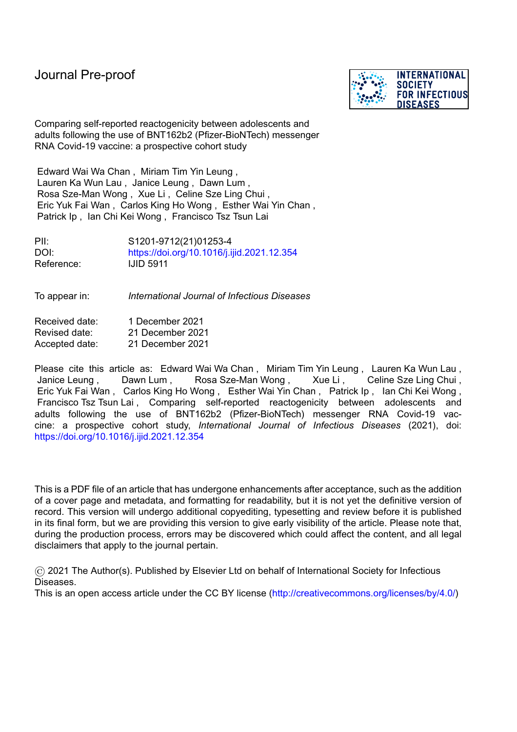

Comparing self-reported reactogenicity between adolescents and adults following the use of BNT162b2 (Pfizer-BioNTech) messenger RNA Covid-19 vaccine: a prospective cohort study

Edward Wai Wa Chan , Miriam Tim Yin Leung , Lauren Ka Wun Lau , Janice Leung , Dawn Lum , Rosa Sze-Man Wong , Xue Li , Celine Sze Ling Chui , Eric Yuk Fai Wan , Carlos King Ho Wong , Esther Wai Yin Chan , Patrick Ip , Ian Chi Kei Wong , Francisco Tsz Tsun Lai

PII: S1201-9712(21)01253-4 DOI: <https://doi.org/10.1016/j.ijid.2021.12.354> Reference: IJID 5911

To appear in: *International Journal of Infectious Diseases*

| Received date: | 1 December 2021  |  |  |
|----------------|------------------|--|--|
| Revised date:  | 21 December 2021 |  |  |
| Accepted date: | 21 December 2021 |  |  |

Please cite this article as: Edward Wai Wa Chan , Miriam Tim Yin Leung , Lauren Ka Wun Lau , Janice Leung , Dawn Lum , Rosa Sze-Man Wong , Xue Li , Celine Sze Ling Chui , Eric Yuk Fai Wan , Carlos King Ho Wong , Esther Wai Yin Chan , Patrick Ip , Ian Chi Kei Wong , Francisco Tsz Tsun Lai , Comparing self-reported reactogenicity between adolescents and adults following the use of BNT162b2 (Pfizer-BioNTech) messenger RNA Covid-19 vaccine: a prospective cohort study, *International Journal of Infectious Diseases* (2021), doi: <https://doi.org/10.1016/j.ijid.2021.12.354>

This is a PDF file of an article that has undergone enhancements after acceptance, such as the addition of a cover page and metadata, and formatting for readability, but it is not yet the definitive version of record. This version will undergo additional copyediting, typesetting and review before it is published in its final form, but we are providing this version to give early visibility of the article. Please note that, during the production process, errors may be discovered which could affect the content, and all legal disclaimers that apply to the journal pertain.

© 2021 The Author(s). Published by Elsevier Ltd on behalf of International Society for Infectious Diseases.

This is an open access article under the CC BY license [\(http://creativecommons.org/licenses/by/4.0/\)](http://creativecommons.org/licenses/by/4.0/)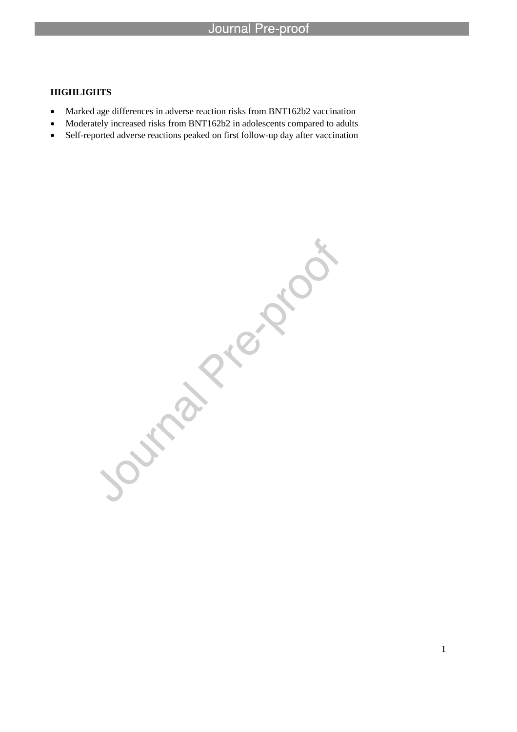## **HIGHLIGHTS**

• Marked age differences in adverse reaction risks from BNT162b2 vaccination

l

- Moderately increased risks from BNT162b2 in adolescents compared to adults
- Self-reported adverse reactions peaked on first follow-up day after vaccination

Journal Prezion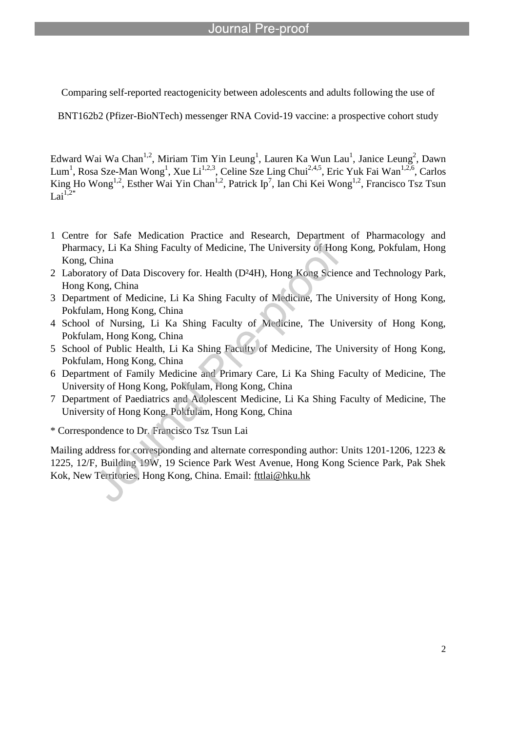l

Comparing self-reported reactogenicity between adolescents and adults following the use of

BNT162b2 (Pfizer-BioNTech) messenger RNA Covid-19 vaccine: a prospective cohort study

Edward Wai Wa Chan<sup>1,2</sup>, Miriam Tim Yin Leung<sup>1</sup>, Lauren Ka Wun Lau<sup>1</sup>, Janice Leung<sup>2</sup>, Dawn Lum<sup>1</sup>, Rosa Sze-Man Wong<sup>1</sup>, Xue Li<sup>1,2,3</sup>, Celine Sze Ling Chui<sup>2,4,5</sup>, Eric Yuk Fai Wan<sup>1,2,6</sup>, Carlos King Ho Wong<sup>1,2</sup>, Esther Wai Yin Chan<sup>1,2</sup>, Patrick Ip<sup>7</sup>, Ian Chi Kei Wong<sup>1,2</sup>, Francisco Tsz Tsun Lai $\overline{1,2^*}$ 

- 1 Centre for Safe Medication Practice and Research, Department of Pharmacology and Pharmacy, Li Ka Shing Faculty of Medicine, The University of Hong Kong, Pokfulam, Hong Kong, China
- 2 Laboratory of Data Discovery for. Health (D²4H), Hong Kong Science and Technology Park, Hong Kong, China
- 3 Department of Medicine, Li Ka Shing Faculty of Medicine, The University of Hong Kong, Pokfulam, Hong Kong, China
- 4 School of Nursing, Li Ka Shing Faculty of Medicine, The University of Hong Kong, Pokfulam, Hong Kong, China
- 5 School of Public Health, Li Ka Shing Faculty of Medicine, The University of Hong Kong, Pokfulam, Hong Kong, China
- 6 Department of Family Medicine and Primary Care, Li Ka Shing Faculty of Medicine, The University of Hong Kong, Pokfulam, Hong Kong, China
- 7 Department of Paediatrics and Adolescent Medicine, Li Ka Shing Faculty of Medicine, The University of Hong Kong, Pokfulam, Hong Kong, China

\* Correspondence to Dr. Francisco Tsz Tsun Lai

Mailing address for corresponding and alternate corresponding author: Units 1201-1206, 1223 & 1225, 12/F, Building 19W, 19 Science Park West Avenue, Hong Kong Science Park, Pak Shek Kok, New Territories, Hong Kong, China. Email: fttlai@hku.hk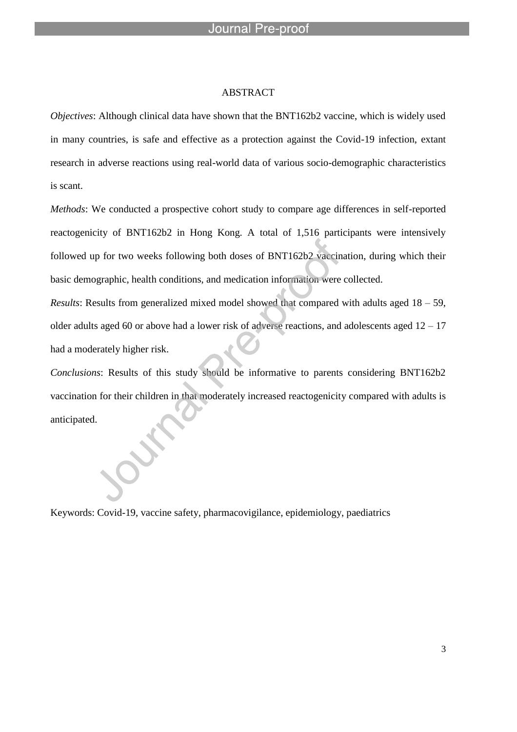#### ABSTRACT

l

*Objectives*: Although clinical data have shown that the BNT162b2 vaccine, which is widely used in many countries, is safe and effective as a protection against the Covid-19 infection, extant research in adverse reactions using real-world data of various socio-demographic characteristics is scant.

*Methods*: We conducted a prospective cohort study to compare age differences in self-reported reactogenicity of BNT162b2 in Hong Kong. A total of 1,516 participants were intensively followed up for two weeks following both doses of BNT162b2 vaccination, during which their basic demographic, health conditions, and medication information were collected.

*Results*: Results from generalized mixed model showed that compared with adults aged 18 – 59, older adults aged 60 or above had a lower risk of adverse reactions, and adolescents aged  $12 - 17$ had a moderately higher risk.

*Conclusions*: Results of this study should be informative to parents considering BNT162b2 vaccination for their children in that moderately increased reactogenicity compared with adults is anticipated.

Keywords: Covid-19, vaccine safety, pharmacovigilance, epidemiology, paediatrics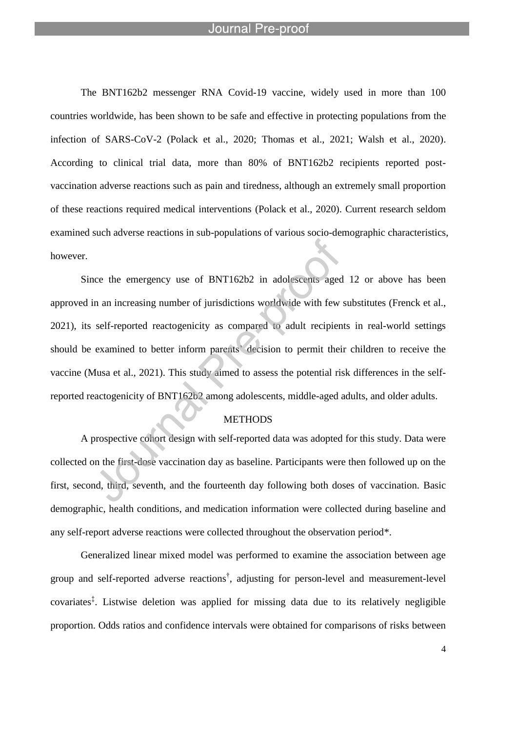l

The BNT162b2 messenger RNA Covid-19 vaccine, widely used in more than 100 countries worldwide, has been shown to be safe and effective in protecting populations from the infection of SARS-CoV-2 (Polack et al., 2020; Thomas et al., 2021; Walsh et al., 2020). According to clinical trial data, more than 80% of BNT162b2 recipients reported postvaccination adverse reactions such as pain and tiredness, although an extremely small proportion of these reactions required medical interventions (Polack et al., 2020). Current research seldom examined such adverse reactions in sub-populations of various socio-demographic characteristics, however.

Since the emergency use of BNT162b2 in adolescents aged 12 or above has been approved in an increasing number of jurisdictions worldwide with few substitutes (Frenck et al., 2021), its self-reported reactogenicity as compared to adult recipients in real-world settings should be examined to better inform parents' decision to permit their children to receive the vaccine (Musa et al., 2021). This study aimed to assess the potential risk differences in the selfreported reactogenicity of BNT162b2 among adolescents, middle-aged adults, and older adults.

### **METHODS**

A prospective cohort design with self-reported data was adopted for this study. Data were collected on the first-dose vaccination day as baseline. Participants were then followed up on the first, second, third, seventh, and the fourteenth day following both doses of vaccination. Basic demographic, health conditions, and medication information were collected during baseline and any self-report adverse reactions were collected throughout the observation period\*.

Generalized linear mixed model was performed to examine the association between age group and self-reported adverse reactions † , adjusting for person-level and measurement-level covariates<sup>‡</sup>. Listwise deletion was applied for missing data due to its relatively negligible proportion. Odds ratios and confidence intervals were obtained for comparisons of risks between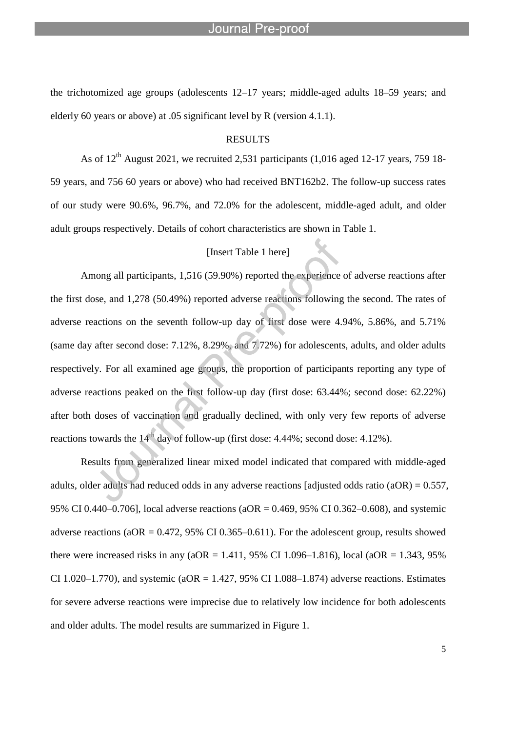l

the trichotomized age groups (adolescents 12–17 years; middle-aged adults 18–59 years; and elderly 60 years or above) at .05 significant level by R (version 4.1.1).

## RESULTS

As of  $12<sup>th</sup>$  August 2021, we recruited 2,531 participants (1,016 aged 12-17 years, 759 18-59 years, and 756 60 years or above) who had received BNT162b2. The follow-up success rates of our study were 90.6%, 96.7%, and 72.0% for the adolescent, middle-aged adult, and older adult groups respectively. Details of cohort characteristics are shown in Table 1.

## [Insert Table 1 here]

Among all participants, 1,516 (59.90%) reported the experience of adverse reactions after the first dose, and 1,278 (50.49%) reported adverse reactions following the second. The rates of adverse reactions on the seventh follow-up day of first dose were 4.94%, 5.86%, and 5.71% (same day after second dose: 7.12%, 8.29%, and 7.72%) for adolescents, adults, and older adults respectively. For all examined age groups, the proportion of participants reporting any type of adverse reactions peaked on the first follow-up day (first dose: 63.44%; second dose: 62.22%) after both doses of vaccination and gradually declined, with only very few reports of adverse reactions towards the  $14<sup>th</sup>$  day of follow-up (first dose: 4.44%; second dose: 4.12%).

Results from generalized linear mixed model indicated that compared with middle-aged adults, older adults had reduced odds in any adverse reactions [adjusted odds ratio  $(aOR) = 0.557$ , 95% CI 0.440–0.706], local adverse reactions (aOR = 0.469, 95% CI 0.362–0.608), and systemic adverse reactions ( $aOR = 0.472$ , 95% CI 0.365–0.611). For the adolescent group, results showed there were increased risks in any (aOR = 1.411, 95% CI 1.096–1.816), local (aOR = 1.343, 95% CI 1.020–1.770), and systemic (aOR = 1.427, 95% CI 1.088–1.874) adverse reactions. Estimates for severe adverse reactions were imprecise due to relatively low incidence for both adolescents and older adults. The model results are summarized in Figure 1.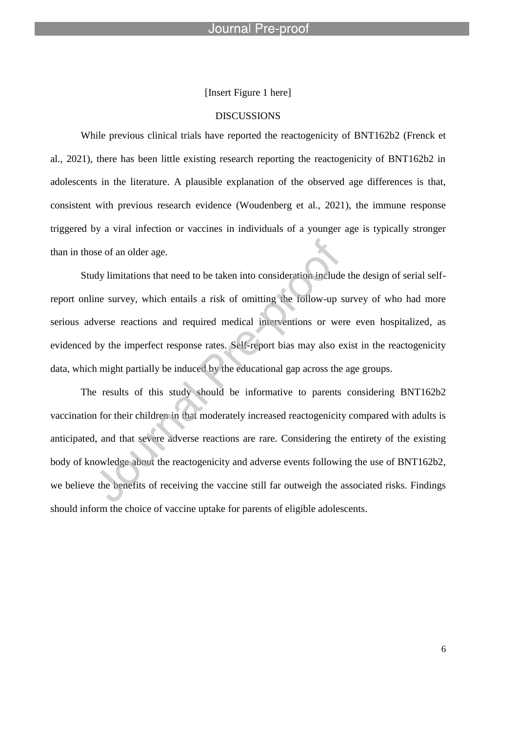[Insert Figure 1 here]

l

#### DISCUSSIONS

While previous clinical trials have reported the reactogenicity of BNT162b2 (Frenck et al., 2021), there has been little existing research reporting the reactogenicity of BNT162b2 in adolescents in the literature. A plausible explanation of the observed age differences is that, consistent with previous research evidence (Woudenberg et al., 2021), the immune response triggered by a viral infection or vaccines in individuals of a younger age is typically stronger than in those of an older age.

Study limitations that need to be taken into consideration include the design of serial selfreport online survey, which entails a risk of omitting the follow-up survey of who had more serious adverse reactions and required medical interventions or were even hospitalized, as evidenced by the imperfect response rates. Self-report bias may also exist in the reactogenicity data, which might partially be induced by the educational gap across the age groups.

The results of this study should be informative to parents considering BNT162b2 vaccination for their children in that moderately increased reactogenicity compared with adults is anticipated, and that severe adverse reactions are rare. Considering the entirety of the existing body of knowledge about the reactogenicity and adverse events following the use of BNT162b2, we believe the benefits of receiving the vaccine still far outweigh the associated risks. Findings should inform the choice of vaccine uptake for parents of eligible adolescents.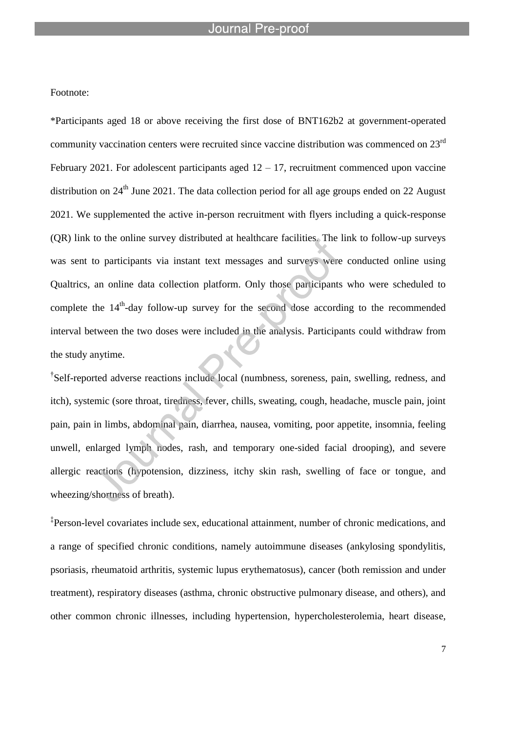l

Footnote:

\*Participants aged 18 or above receiving the first dose of BNT162b2 at government-operated community vaccination centers were recruited since vaccine distribution was commenced on 23<sup>rd</sup> February 2021. For adolescent participants aged  $12 - 17$ , recruitment commenced upon vaccine distribution on 24<sup>th</sup> June 2021. The data collection period for all age groups ended on 22 August 2021. We supplemented the active in-person recruitment with flyers including a quick-response (QR) link to the online survey distributed at healthcare facilities. The link to follow-up surveys was sent to participants via instant text messages and surveys were conducted online using Qualtrics, an online data collection platform. Only those participants who were scheduled to complete the  $14<sup>th</sup>$ -day follow-up survey for the second dose according to the recommended interval between the two doses were included in the analysis. Participants could withdraw from the study anytime.

† Self-reported adverse reactions include local (numbness, soreness, pain, swelling, redness, and itch), systemic (sore throat, tiredness, fever, chills, sweating, cough, headache, muscle pain, joint pain, pain in limbs, abdominal pain, diarrhea, nausea, vomiting, poor appetite, insomnia, feeling unwell, enlarged lymph nodes, rash, and temporary one-sided facial drooping), and severe allergic reactions (hypotension, dizziness, itchy skin rash, swelling of face or tongue, and wheezing/shortness of breath).

‡ Person-level covariates include sex, educational attainment, number of chronic medications, and a range of specified chronic conditions, namely autoimmune diseases (ankylosing spondylitis, psoriasis, rheumatoid arthritis, systemic lupus erythematosus), cancer (both remission and under treatment), respiratory diseases (asthma, chronic obstructive pulmonary disease, and others), and other common chronic illnesses, including hypertension, hypercholesterolemia, heart disease,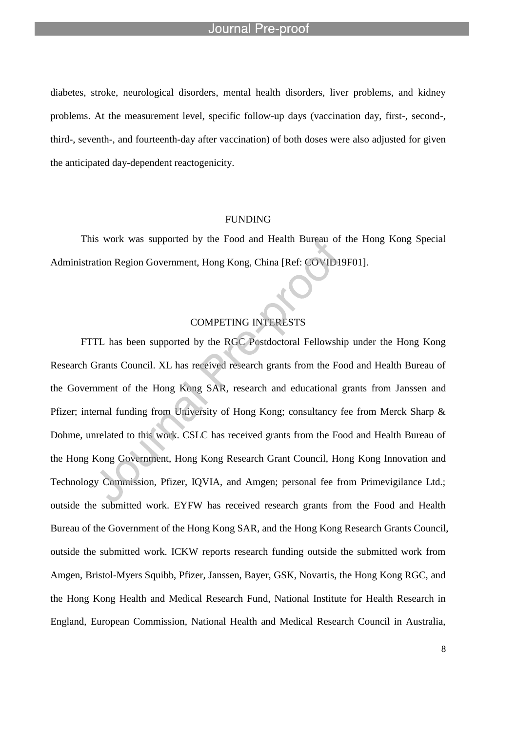l

diabetes, stroke, neurological disorders, mental health disorders, liver problems, and kidney problems. At the measurement level, specific follow-up days (vaccination day, first-, second-, third-, seventh-, and fourteenth-day after vaccination) of both doses were also adjusted for given the anticipated day-dependent reactogenicity.

#### FUNDING

This work was supported by the Food and Health Bureau of the Hong Kong Special Administration Region Government, Hong Kong, China [Ref: COVID19F01].

## COMPETING INTERESTS

FTTL has been supported by the RGC Postdoctoral Fellowship under the Hong Kong Research Grants Council. XL has received research grants from the Food and Health Bureau of the Government of the Hong Kong SAR, research and educational grants from Janssen and Pfizer; internal funding from University of Hong Kong; consultancy fee from Merck Sharp & Dohme, unrelated to this work. CSLC has received grants from the Food and Health Bureau of the Hong Kong Government, Hong Kong Research Grant Council, Hong Kong Innovation and Technology Commission, Pfizer, IQVIA, and Amgen; personal fee from Primevigilance Ltd.; outside the submitted work. EYFW has received research grants from the Food and Health Bureau of the Government of the Hong Kong SAR, and the Hong Kong Research Grants Council, outside the submitted work. ICKW reports research funding outside the submitted work from Amgen, Bristol-Myers Squibb, Pfizer, Janssen, Bayer, GSK, Novartis, the Hong Kong RGC, and the Hong Kong Health and Medical Research Fund, National Institute for Health Research in England, European Commission, National Health and Medical Research Council in Australia,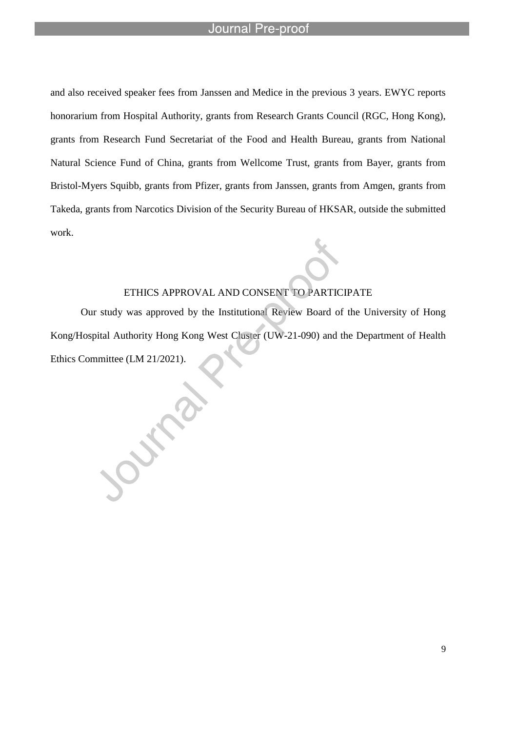l

**SILLE** 

and also received speaker fees from Janssen and Medice in the previous 3 years. EWYC reports honorarium from Hospital Authority, grants from Research Grants Council (RGC, Hong Kong), grants from Research Fund Secretariat of the Food and Health Bureau, grants from National Natural Science Fund of China, grants from Wellcome Trust, grants from Bayer, grants from Bristol-Myers Squibb, grants from Pfizer, grants from Janssen, grants from Amgen, grants from Takeda, grants from Narcotics Division of the Security Bureau of HKSAR, outside the submitted work.

## ETHICS APPROVAL AND CONSENT TO PARTICIPATE

Our study was approved by the Institutional Review Board of the University of Hong Kong/Hospital Authority Hong Kong West Cluster (UW-21-090) and the Department of Health Ethics Committee (LM 21/2021).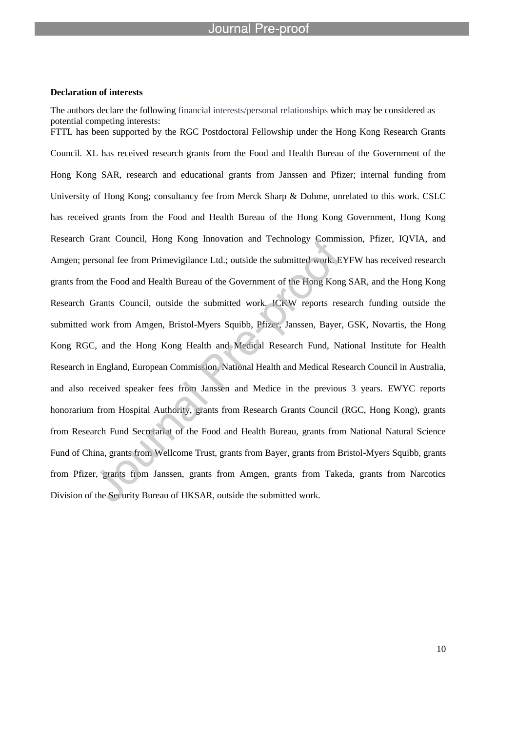l

#### **Declaration of interests**

The authors declare the following financial interests/personal relationships which may be considered as potential competing interests: FTTL has been supported by the RGC Postdoctoral Fellowship under the Hong Kong Research Grants Council. XL has received research grants from the Food and Health Bureau of the Government of the Hong Kong SAR, research and educational grants from Janssen and Pfizer; internal funding from University of Hong Kong; consultancy fee from Merck Sharp & Dohme, unrelated to this work. CSLC has received grants from the Food and Health Bureau of the Hong Kong Government, Hong Kong Research Grant Council, Hong Kong Innovation and Technology Commission, Pfizer, IQVIA, and Amgen; personal fee from Primevigilance Ltd.; outside the submitted work. EYFW has received research grants from the Food and Health Bureau of the Government of the Hong Kong SAR, and the Hong Kong Research Grants Council, outside the submitted work. ICKW reports research funding outside the submitted work from Amgen, Bristol-Myers Squibb, Pfizer, Janssen, Bayer, GSK, Novartis, the Hong Kong RGC, and the Hong Kong Health and Medical Research Fund, National Institute for Health Research in England, European Commission, National Health and Medical Research Council in Australia, and also received speaker fees from Janssen and Medice in the previous 3 years. EWYC reports honorarium from Hospital Authority, grants from Research Grants Council (RGC, Hong Kong), grants from Research Fund Secretariat of the Food and Health Bureau, grants from National Natural Science Fund of China, grants from Wellcome Trust, grants from Bayer, grants from Bristol-Myers Squibb, grants from Pfizer, grants from Janssen, grants from Amgen, grants from Takeda, grants from Narcotics Division of the Security Bureau of HKSAR, outside the submitted work.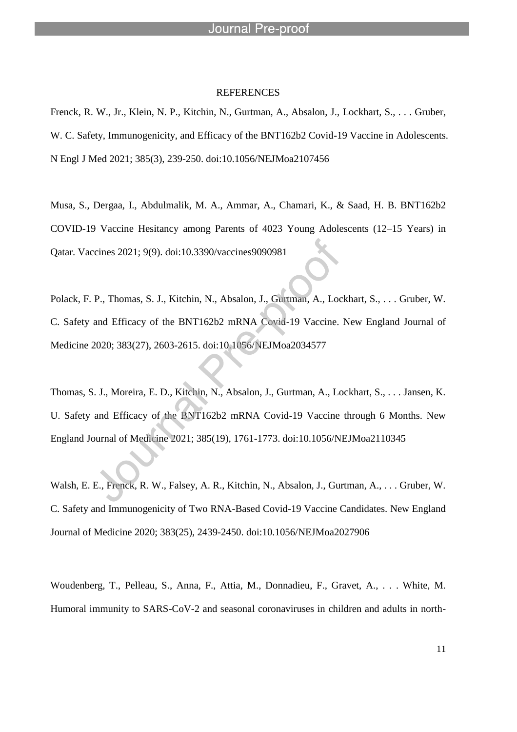#### **REFERENCES**

l

Frenck, R. W., Jr., Klein, N. P., Kitchin, N., Gurtman, A., Absalon, J., Lockhart, S., . . . Gruber, W. C. Safety, Immunogenicity, and Efficacy of the BNT162b2 Covid-19 Vaccine in Adolescents. N Engl J Med 2021; 385(3), 239-250. doi:10.1056/NEJMoa2107456

Musa, S., Dergaa, I., Abdulmalik, M. A., Ammar, A., Chamari, K., & Saad, H. B. BNT162b2 COVID-19 Vaccine Hesitancy among Parents of 4023 Young Adolescents (12–15 Years) in Qatar. Vaccines 2021; 9(9). doi:10.3390/vaccines9090981

Polack, F. P., Thomas, S. J., Kitchin, N., Absalon, J., Gurtman, A., Lockhart, S., . . . Gruber, W. C. Safety and Efficacy of the BNT162b2 mRNA Covid-19 Vaccine. New England Journal of Medicine 2020; 383(27), 2603-2615. doi:10.1056/NEJMoa2034577

Thomas, S. J., Moreira, E. D., Kitchin, N., Absalon, J., Gurtman, A., Lockhart, S., . . . Jansen, K. U. Safety and Efficacy of the BNT162b2 mRNA Covid-19 Vaccine through 6 Months. New England Journal of Medicine 2021; 385(19), 1761-1773. doi:10.1056/NEJMoa2110345

Walsh, E. E., Frenck, R. W., Falsey, A. R., Kitchin, N., Absalon, J., Gurtman, A., . . . Gruber, W. C. Safety and Immunogenicity of Two RNA-Based Covid-19 Vaccine Candidates. New England Journal of Medicine 2020; 383(25), 2439-2450. doi:10.1056/NEJMoa2027906

Woudenberg, T., Pelleau, S., Anna, F., Attia, M., Donnadieu, F., Gravet, A., . . . White, M. Humoral immunity to SARS-CoV-2 and seasonal coronaviruses in children and adults in north-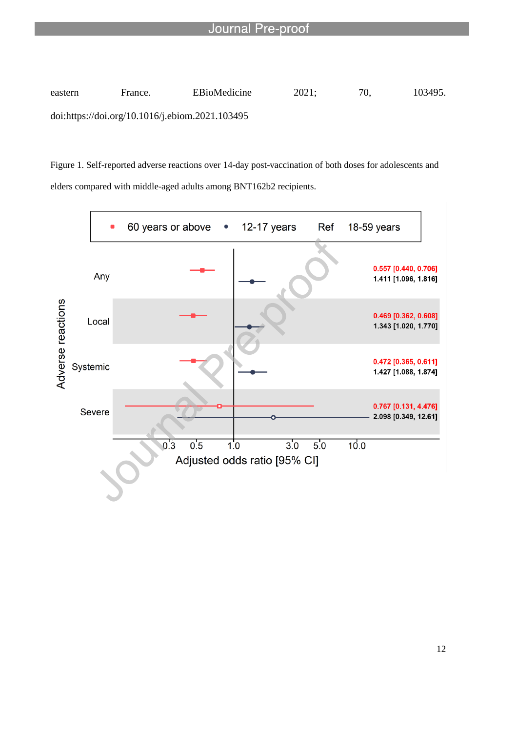

l

Figure 1. Self-reported adverse reactions over 14-day post-vaccination of both doses for adolescents and elders compared with middle-aged adults among BNT162b2 recipients.